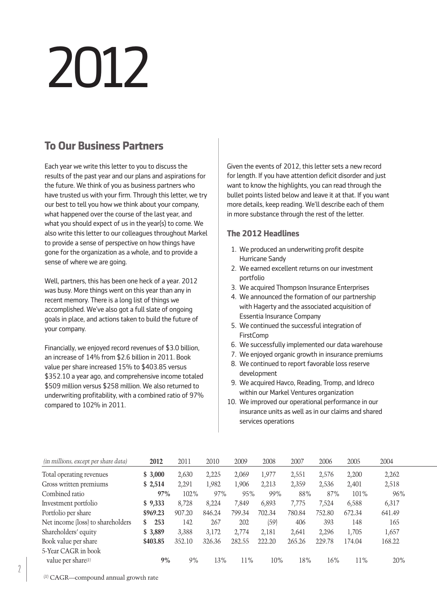# 2012

# **To Our Business Partners**

Each year we write this letter to you to discuss the results of the past year and our plans and aspirations for the future. We think of you as business partners who have trusted us with your firm. Through this letter, we try our best to tell you how we think about your company, what happened over the course of the last year, and what you should expect of us in the year(s) to come. We also write this letter to our colleagues throughout Markel to provide a sense of perspective on how things have gone for the organization as a whole, and to provide a sense of where we are going.

Well, partners, this has been one heck of a year. 2012 was busy. More things went on this year than any in recent memory. There is a long list of things we accomplished. We've also got a full slate of ongoing goals in place, and actions taken to build the future of your company.

Financially, we enjoyed record revenues of \$3.0 billion, an increase of 14% from \$2.6 billion in 2011. Book value per share increased 15% to \$403.85 versus \$352.10 a year ago, and comprehensive income totaled \$509 million versus \$258 million. We also returned to underwriting profitability, with a combined ratio of 97% compared to 102% in 2011.

Given the events of 2012, this letter sets a new record for length. If you have attention deficit disorder and just want to know the highlights, you can read through the bullet points listed below and leave it at that. If you want more details, keep reading. We'll describe each of them in more substance through the rest of the letter.

## **The 2012 Headlines**

- 1. We produced an underwriting profit despite Hurricane Sandy
- 2. We earned excellent returns on our investment portfolio
- 3. We acquired Thompson Insurance Enterprises
- 4. We announced the formation of our partnership with Hagerty and the associated acquisition of Essentia Insurance Company
- 05. We continued the successful integration of **FirstComp**
- 06. We successfully implemented our data warehouse
- 07. We enjoyed organic growth in insurance premiums
- 08. We continued to report favorable loss reserve development
- 09. We acquired Havco, Reading, Tromp, and Idreco within our Markel Ventures organization
- 10. We improved our operational performance in our insurance units as well as in our claims and shared services operations

| (in millions, except per share data) | 2012      | 2011    | 2010   | 2009   | 2008   | 2007   | 2006   | 2005    | 2004   |
|--------------------------------------|-----------|---------|--------|--------|--------|--------|--------|---------|--------|
| Total operating revenues             | \$3,000   | 2,630   | 2,225  | 2,069  | 1,977  | 2,551  | 2,576  | 2,200   | 2,262  |
| Gross written premiums               | \$2,514   | 2,291   | 1,982  | 1,906  | 2,213  | 2,359  | 2,536  | 2,401   | 2,518  |
| Combined ratio                       | 97%       | $102\%$ | 97%    | 95%    | 99%    | 88%    | 87%    | $101\%$ | 96%    |
| Investment portfolio                 | \$9,333   | 8,728   | 8.224  | 7.849  | 6,893  | 7,775  | 7,524  | 6,588   | 6,317  |
| Portfolio per share                  | \$969.23  | 907.20  | 846.24 | 799.34 | 702.34 | 780.84 | 752.80 | 672.34  | 641.49 |
| Net income (loss) to shareholders    | 253<br>\$ | 142     | 267    | 202    | (59)   | 406    | 393    | 148     | 165    |
| Shareholders' equity                 | \$3,889   | 3,388   | 3,172  | 2.774  | 2,181  | 2,641  | 2,296  | 1,705   | 1,657  |
| Book value per share                 | \$403.85  | 352.10  | 326.36 | 282.55 | 222.20 | 265.26 | 229.78 | 174.04  | 168.22 |
| 5-Year CAGR in book                  |           |         |        |        |        |        |        |         |        |
| value per share(1)                   | 9%        | 9%      | 13%    | 11%    | 10%    | 18%    | 16%    | 11%     | 20%    |

(1) CAGR—compound annual growth rate

 $\sqrt{2}$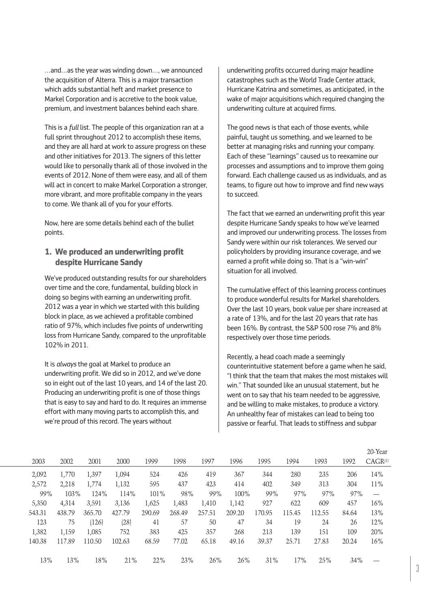…and…as the year was winding down…, we announced the acquisition of Alterra. This is a major transaction which adds substantial heft and market presence to Markel Corporation and is accretive to the book value, premium, and investment balances behind each share.

This is a *full* list. The people of this organization ran at a full sprint throughout 2012 to accomplish these items, and they are all hard at work to assure progress on these and other initiatives for 2013. The signers of this letter would like to personally thank all of those involved in the events of 2012. None of them were easy, and all of them will act in concert to make Markel Corporation a stronger, more vibrant, and more profitable company in the years to come. We thank all of you for your efforts.

Now, here are some details behind each of the bullet points.

#### **1. We produced an underwriting profit despite Hurricane Sandy**

We've produced outstanding results for our shareholders over time and the core, fundamental, building block in doing so begins with earning an underwriting profit. 2012 was a year in which we started with this building block in place, as we achieved a profitable combined ratio of 97%, which includes five points of underwriting loss from Hurricane Sandy, compared to the unprofitable 102% in 2011.

It is *always* the goal at Markel to produce an underwriting profit. We did so in 2012, and we've done so in eight out of the last 10 years, and 14 of the last 20. Producing an underwriting profit is one of those things that is easy to say and hard to do. It requires an immense effort with many moving parts to accomplish this, and we're proud of this record. The years without

underwriting profits occurred during major headline catastrophes such as the World Trade Center attack, Hurricane Katrina and sometimes, as anticipated, in the wake of major acquisitions which required changing the underwriting culture at acquired firms.

The good news is that each of those events, while painful, taught us something, and we learned to be better at managing risks and running your company. Each of these "learnings" caused us to reexamine our processes and assumptions and to improve them going forward. Each challenge caused us as individuals, and as teams, to figure out how to improve and find new ways to succeed.

The fact that we earned an underwriting profit this year despite Hurricane Sandy speaks to how we've learned and improved our underwriting process. The losses from Sandy were within our risk tolerances. We served our policyholders by providing insurance coverage, and we earned a profit while doing so. That is a "win-win" situation for all involved.

The cumulative effect of this learning process continues to produce wonderful results for Markel shareholders. Over the last 10 years, book value per share increased at a rate of 13%, and for the last 20 years that rate has been 16%. By contrast, the S&P 500 rose 7% and 8% respectively over those time periods.

Recently, a head coach made a seemingly counterintuitive statement before a game when he said, "I think that the team that makes the most mistakes will win." That sounded like an unusual statement, but he went on to say that his team needed to be aggressive, and be willing to make mistakes, to produce a victory. An unhealthy fear of mistakes can lead to being too passive or fearful. That leads to stiffness and subpar

|        |        |        |        |        |        |        |        |        |        |        |       | 20-Year             |
|--------|--------|--------|--------|--------|--------|--------|--------|--------|--------|--------|-------|---------------------|
| 2003   | 2002   | 2001   | 2000   | 1999   | 1998   | 1997   | 1996   | 1995   | 1994   | 1993   | 1992  | CAGR <sup>(1)</sup> |
| 2,092  | 1,770  | 1,397  | 1,094  | 524    | 426    | 419    | 367    | 344    | 280    | 235    | 206   | 14%                 |
| 2,572  | 2,218  | 1,774  | 1,132  | 595    | 437    | 423    | 414    | 402    | 349    | 313    | 304   | 11%                 |
| 99%    | 103%   | 124%   | 114%   | 101%   | 98%    | 99%    | 100%   | 99%    | 97%    | 97%    | 97%   |                     |
| 5,350  | 4,314  | 3,591  | 3,136  | 1,625  | 1,483  | 1,410  | 1,142  | 927    | 622    | 609    | 457   | 16%                 |
| 543.31 | 438.79 | 365.70 | 427.79 | 290.69 | 268.49 | 257.51 | 209.20 | 170.95 | 115.45 | 112.55 | 84.64 | 13%                 |
| 123    | 75     | (126)  | (28)   | 41     | 57     | 50     | 47     | 34     | 19     | 24     | 26    | 12%                 |
| 1,382  | 1,159  | 1,085  | 752    | 383    | 425    | 357    | 268    | 213    | 139    | 151    | 109   | 20%                 |
| 140.38 | 117.89 | 110.50 | 102.63 | 68.59  | 77.02  | 65.18  | 49.16  | 39.37  | 25.71  | 27.83  | 20.24 | 16%                 |
|        |        |        |        |        |        |        |        |        |        |        |       |                     |
| 13%    | 13%    | 18%    | 21%    | 22%    | 23%    | 26%    | 26%    | 31%    | 17%    | 25%    | 34%   |                     |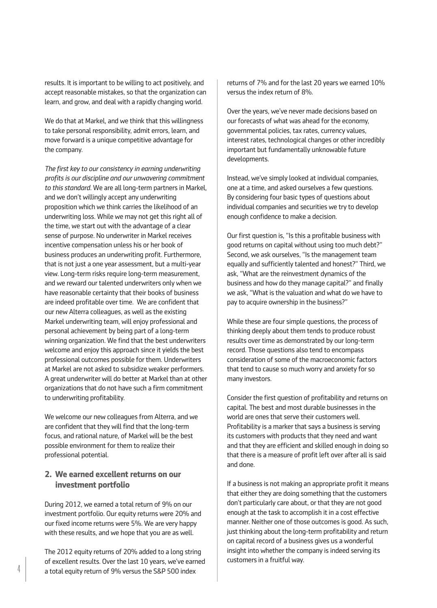results. It is important to be willing to act positively, and accept reasonable mistakes, so that the organization can learn, and grow, and deal with a rapidly changing world.

We do that at Markel, and we think that this willingness to take personal responsibility, admit errors, learn, and move forward is a unique competitive advantage for the company.

*The first key to our consistency in earning underwriting profits is our discipline and our unwavering commitment to this standard.* We are all long-term partners in Markel, and we don't willingly accept any underwriting proposition which we think carries the likelihood of an underwriting loss. While we may not get this right all of the time, we start out with the advantage of a clear sense of purpose. No underwriter in Markel receives incentive compensation unless his or her book of business produces an underwriting profit. Furthermore, that is not just a one year assessment, but a multi-year view. Long-term risks require long-term measurement, and we reward our talented underwriters only when we have reasonable certainty that their books of business are indeed profitable over time. We are confident that our new Alterra colleagues, as well as the existing Markel underwriting team, will enjoy professional and personal achievement by being part of a long-term winning organization. We find that the best underwriters welcome and enjoy this approach since it yields the best professional outcomes possible for them. Underwriters at Markel are not asked to subsidize weaker performers. A great underwriter will do better at Markel than at other organizations that do not have such a firm commitment to underwriting profitability.

We welcome our new colleagues from Alterra, and we are confident that they will find that the long-term focus, and rational nature, of Markel will be the best possible environment for them to realize their professional potential.

#### **2. We earned excellent returns on our investment portfolio**

During 2012, we earned a total return of 9% on our investment portfolio. Our equity returns were 20% and our fixed income returns were 5%. We are very happy with these results, and we hope that you are as well.

The 2012 equity returns of 20% added to a long string of excellent results. Over the last 10 years, we've earned  $^{\text{4}}$   $\,$   $^{\text{4}}$   $\,$  a total equity return of 9% versus the S&P 500 index

returns of 7% and for the last 20 years we earned 10% versus the index return of 8%.

Over the years, we've never made decisions based on our forecasts of what was ahead for the economy, governmental policies, tax rates, currency values, interest rates, technological changes or other incredibly important but fundamentally unknowable future developments.

Instead, we've simply looked at individual companies, one at a time, and asked ourselves a few questions. By considering four basic types of questions about individual companies and securities we try to develop enough confidence to make a decision.

Our first question is, "Is this a profitable business with good returns on capital without using too much debt?" Second, we ask ourselves, "Is the management team equally and sufficiently talented and honest?" Third, we ask, "What are the reinvestment dynamics of the business and how do they manage capital?" and finally we ask, "What is the valuation and what do we have to pay to acquire ownership in the business?"

While these are four simple questions, the process of thinking deeply about them tends to produce robust results over time as demonstrated by our long-term record. Those questions also tend to encompass consideration of some of the macroeconomic factors that tend to cause so much worry and anxiety for so many investors.

Consider the first question of profitability and returns on capital. The best and most durable businesses in the world are ones that serve their customers well. Profitability is a marker that says a business is serving its customers with products that they need and want and that they are efficient and skilled enough in doing so that there is a measure of profit left over after all is said and done.

If a business is not making an appropriate profit it means that either they are doing something that the customers don't particularly care about, or that they are not good enough at the task to accomplish it in a cost effective manner. Neither one of those outcomes is good. As such, just thinking about the long-term profitability and return on capital record of a business gives us a wonderful insight into whether the company is indeed serving its customers in a fruitful way.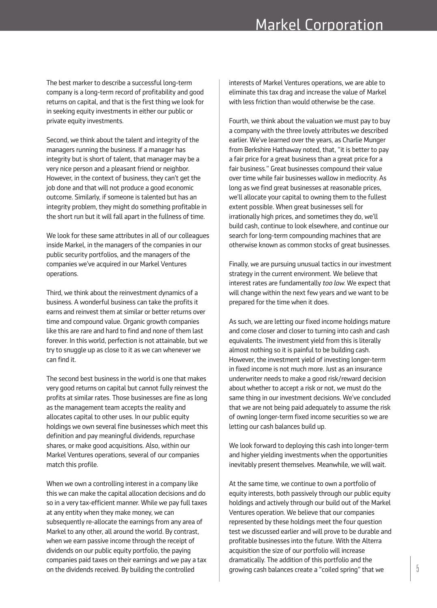The best marker to describe a successful long-term company is a long-term record of profitability and good returns on capital, and that is the first thing we look for in seeking equity investments in either our public or private equity investments.

Second, we think about the talent and integrity of the managers running the business. If a manager has integrity but is short of talent, that manager may be a very nice person and a pleasant friend or neighbor. However, in the context of business, they can't get the job done and that will not produce a good economic outcome. Similarly, if someone is talented but has an integrity problem, they might do something profitable in the short run but it will fall apart in the fullness of time.

We look for these same attributes in all of our colleagues inside Markel, in the managers of the companies in our public security portfolios, and the managers of the companies we've acquired in our Markel Ventures operations.

Third, we think about the reinvestment dynamics of a business. A wonderful business can take the profits it earns and reinvest them at similar or better returns over time and compound value. Organic growth companies like this are rare and hard to find and none of them last forever. In this world, perfection is not attainable, but we try to snuggle up as close to it as we can whenever we can find it.

The second best business in the world is one that makes very good returns on capital but cannot fully reinvest the profits at similar rates. Those businesses are fine as long as the management team accepts the reality and allocates capital to other uses. In our public equity holdings we own several fine businesses which meet this definition and pay meaningful dividends, repurchase shares, or make good acquisitions. Also, within our Markel Ventures operations, several of our companies match this profile.

When we own a controlling interest in a company like this we can make the capital allocation decisions and do so in a very tax-efficient manner. While we pay full taxes at any entity when they make money, we can subsequently re-allocate the earnings from any area of Markel to any other, all around the world. By contrast, when we earn passive income through the receipt of dividends on our public equity portfolio, the paying companies paid taxes on their earnings and we pay a tax interests of Markel Ventures operations, we are able to eliminate this tax drag and increase the value of Markel with less friction than would otherwise be the case.

Fourth, we think about the valuation we must pay to buy a company with the three lovely attributes we described earlier. We've learned over the years, as Charlie Munger from Berkshire Hathaway noted, that, "it is better to pay a fair price for a great business than a great price for a fair business." Great businesses compound their value over time while fair businesses wallow in mediocrity. As long as we find great businesses at reasonable prices, we'll allocate your capital to owning them to the fullest extent possible. When great businesses sell for irrationally high prices, and sometimes they do, we'll build cash, continue to look elsewhere, and continue our search for long-term compounding machines that are otherwise known as common stocks of great businesses.

Finally, we are pursuing unusual tactics in our investment strategy in the current environment. We believe that interest rates are fundamentally *too low*. We expect that will change within the next few years and we want to be prepared for the time when it does.

As such, we are letting our fixed income holdings mature and come closer and closer to turning into cash and cash equivalents. The investment yield from this is literally almost nothing so it is painful to be building cash. However, the investment yield of investing longer-term in fixed income is not much more. Just as an insurance underwriter needs to make a good risk/reward decision about whether to accept a risk or not, we must do the same thing in our investment decisions. We've concluded that we are not being paid adequately to assume the risk of owning longer-term fixed income securities so we are letting our cash balances build up.

We look forward to deploying this cash into longer-term and higher yielding investments when the opportunities inevitably present themselves. Meanwhile, we will wait.

on the dividends received. By building the controlled  $\frac{1}{3}$  growing cash balances create a "coiled spring" that we  $\frac{5}{3}$ At the same time, we continue to own a portfolio of equity interests, both passively through our public equity holdings and actively through our build out of the Markel Ventures operation. We believe that our companies represented by these holdings meet the four question test we discussed earlier and will prove to be durable and profitable businesses into the future. With the Alterra acquisition the size of our portfolio will increase dramatically. The addition of this portfolio and the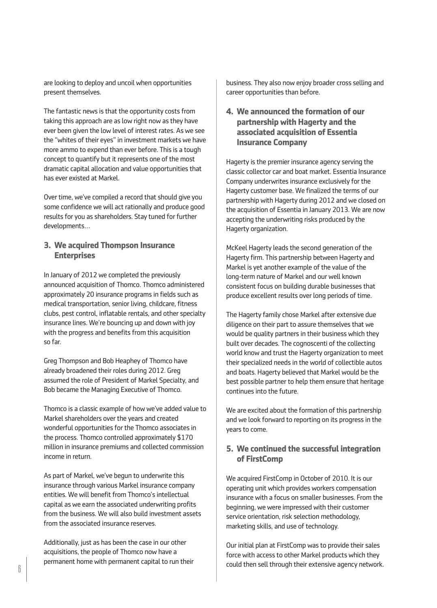are looking to deploy and uncoil when opportunities present themselves.

The fantastic news is that the opportunity costs from taking this approach are as low right now as they have ever been given the low level of interest rates. As we see the "whites of their eyes" in investment markets we have more ammo to expend than ever before. This is a tough concept to quantify but it represents one of the most dramatic capital allocation and value opportunities that has ever existed at Markel.

Over time, we've compiled a record that should give you some confidence we will act rationally and produce good results for you as shareholders. Stay tuned for further developments…

#### **3. We acquired Thompson Insurance Enterprises**

In January of 2012 we completed the previously announced acquisition of Thomco. Thomco administered approximately 20 insurance programs in fields such as medical transportation, senior living, childcare, fitness clubs, pest control, inflatable rentals, and other specialty insurance lines. We're bouncing up and down with joy with the progress and benefits from this acquisition so far.

Greg Thompson and Bob Heaphey of Thomco have already broadened their roles during 2012. Greg assumed the role of President of Markel Specialty, and Bob became the Managing Executive of Thomco.

Thomco is a classic example of how we've added value to Markel shareholders over the years and created wonderful opportunities for the Thomco associates in the process. Thomco controlled approximately \$170 million in insurance premiums and collected commission income in return.

As part of Markel, we've begun to underwrite this insurance through various Markel insurance company entities. We will benefit from Thomco's intellectual capital as we earn the associated underwriting profits from the business. We will also build investment assets from the associated insurance reserves.

Additionally, just as has been the case in our other acquisitions, the people of Thomco now have a permanent home with permanent capital to run their

business. They also now enjoy broader cross selling and career opportunities than before.

## **4. We announced the formation of our partnership with Hagerty and the associated acquisition of Essentia Insurance Company**

Hagerty is the premier insurance agency serving the classic collector car and boat market. Essentia Insurance Company underwrites insurance exclusively for the Hagerty customer base. We finalized the terms of our partnership with Hagerty during 2012 and we closed on the acquisition of Essentia in January 2013. We are now accepting the underwriting risks produced by the Hagerty organization.

McKeel Hagerty leads the second generation of the Hagerty firm. This partnership between Hagerty and Markel is yet another example of the value of the long-term nature of Markel and our well known consistent focus on building durable businesses that produce excellent results over long periods of time.

The Hagerty family chose Markel after extensive due diligence on their part to assure themselves that we would be quality partners in their business which they built over decades. The cognoscenti of the collecting world know and trust the Hagerty organization to meet their specialized needs in the world of collectible autos and boats. Hagerty believed that Markel would be the best possible partner to help them ensure that heritage continues into the future.

We are excited about the formation of this partnership and we look forward to reporting on its progress in the years to come.

#### **5. We continued the successful integration of FirstComp**

We acquired FirstComp in October of 2010. It is our operating unit which provides workers compensation insurance with a focus on smaller businesses. From the beginning, we were impressed with their customer service orientation, risk selection methodology, marketing skills, and use of technology.

Our initial plan at FirstComp was to provide their sales force with access to other Markel products which they could then sell through their extensive agency network.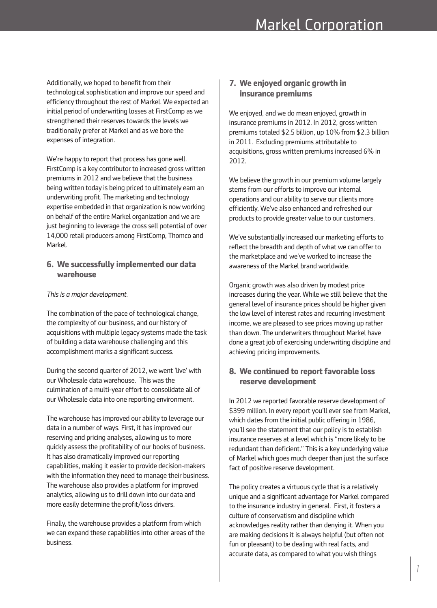Additionally, we hoped to benefit from their technological sophistication and improve our speed and efficiency throughout the rest of Markel. We expected an initial period of underwriting losses at FirstComp as we strengthened their reserves towards the levels we traditionally prefer at Markel and as we bore the expenses of integration.

We're happy to report that process has gone well. FirstComp is a key contributor to increased gross written premiums in 2012 and we believe that the business being written today is being priced to ultimately earn an underwriting profit. The marketing and technology expertise embedded in that organization is now working on behalf of the entire Markel organization and we are just beginning to leverage the cross sell potential of over 14,000 retail producers among FirstComp, Thomco and Markel.

#### **6. We successfully implemented our data warehouse**

#### *This is a major development.*

The combination of the pace of technological change, the complexity of our business, and our history of acquisitions with multiple legacy systems made the task of building a data warehouse challenging and this accomplishment marks a significant success.

During the second quarter of 2012, we went 'live' with our Wholesale data warehouse. This was the culmination of a multi-year effort to consolidate all of our Wholesale data into one reporting environment.

The warehouse has improved our ability to leverage our data in a number of ways. First, it has improved our reserving and pricing analyses, allowing us to more quickly assess the profitability of our books of business. It has also dramatically improved our reporting capabilities, making it easier to provide decision-makers with the information they need to manage their business. The warehouse also provides a platform for improved analytics, allowing us to drill down into our data and more easily determine the profit/loss drivers.

Finally, the warehouse provides a platform from which we can expand these capabilities into other areas of the business.

## **7. We enjoyed organic growth in insurance premiums**

We enjoyed, and we do mean enjoyed, growth in insurance premiums in 2012. In 2012, gross written premiums totaled \$2.5 billion, up 10% from \$2.3 billion in 2011. Excluding premiums attributable to acquisitions, gross written premiums increased 6% in 2012.

We believe the growth in our premium volume largely stems from our efforts to improve our internal operations and our ability to serve our clients more efficiently. We've also enhanced and refreshed our products to provide greater value to our customers.

We've substantially increased our marketing efforts to reflect the breadth and depth of what we can offer to the marketplace and we've worked to increase the awareness of the Markel brand worldwide.

Organic growth was also driven by modest price increases during the year. While we still believe that the general level of insurance prices should be higher given the low level of interest rates and recurring investment income, we are pleased to see prices moving up rather than down. The underwriters throughout Markel have done a great job of exercising underwriting discipline and achieving pricing improvements.

## **8. We continued to reportfavorable loss reserve development**

In 2012 we reported favorable reserve development of \$399 million. In every report you'll ever see from Markel, which dates from the initial public offering in 1986, you'll see the statement that our policy is to establish insurance reserves at a level which is "more likely to be redundant than deficient." This is a key underlying value of Markel which goes much deeper than just the surface fact of positive reserve development.

The policy creates a virtuous cycle that is a relatively unique and a significant advantage for Markel compared to the insurance industry in general. First, it fosters a culture of conservatism and discipline which acknowledges reality rather than denying it. When you are making decisions it is always helpful (but often not fun or pleasant) to be dealing with real facts, and accurate data, as compared to what you wish things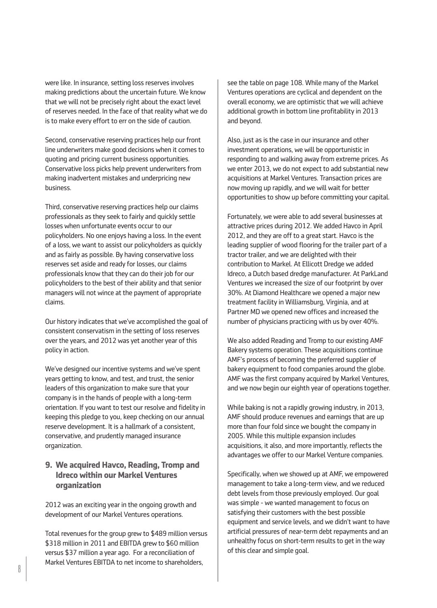were like. In insurance, setting loss reserves involves making predictions about the uncertain future. We know that we will not be precisely right about the exact level of reserves needed. In the face of that reality what we do is to make every effort to err on the side of caution.

Second, conservative reserving practices help our front line underwriters make good decisions when it comes to quoting and pricing current business opportunities. Conservative loss picks help prevent underwriters from making inadvertent mistakes and underpricing new business.

Third, conservative reserving practices help our claims professionals as they seek to fairly and quickly settle losses when unfortunate events occur to our policyholders. No one enjoys having a loss. In the event of a loss, we want to assist our policyholders as quickly and as fairly as possible. By having conservative loss reserves set aside and ready for losses, our claims professionals know that they can do their job for our policyholders to the best of their ability and that senior managers will not wince at the payment of appropriate claims.

Our history indicates that we've accomplished the goal of consistent conservatism in the setting of loss reserves over the years, and 2012 was yet another year of this policy in action.

We've designed our incentive systems and we've spent years getting to know, and test, and trust, the senior leaders of this organization to make sure that your company is in the hands of people with a long-term orientation. If you want to test our resolve and fidelity in keeping this pledge to you, keep checking on our annual reserve development. It is a hallmark of a consistent, conservative, and prudently managed insurance organization.

## **9. We acquired Havco, Reading, Tromp and Idreco within our Markel Ventures organization**

2012 was an exciting year in the ongoing growth and development of our Markel Ventures operations.

Total revenues for the group grew to \$489 million versus \$318 million in 2011 and EBITDA grew to \$60 million versus \$37 million a year ago. For a reconciliation of Markel Ventures EBITDA to net income to shareholders,

see the table on page 108. While many of the Markel Ventures operations are cyclical and dependent on the overall economy, we are optimistic that we will achieve additional growth in bottom line profitability in 2013 and beyond.

Also, just as is the case in our insurance and other investment operations, we will be opportunistic in responding to and walking away from extreme prices. As we enter 2013, we do not expect to add substantial new acquisitions at Markel Ventures. Transaction prices are now moving up rapidly, and we will wait for better opportunities to show up before committing your capital.

Fortunately, we were able to add several businesses at attractive prices during 2012. We added Havco in April 2012, and they are off to a great start. Havco is the leading supplier of wood flooring for the trailer part of a tractor trailer, and we are delighted with their contribution to Markel. At Ellicott Dredge we added Idreco, a Dutch based dredge manufacturer. At ParkLand Ventures we increased the size of our footprint by over 30%. At Diamond Healthcare we opened a major new treatment facility in Williamsburg, Virginia, and at Partner MD we opened new offices and increased the number of physicians practicing with us by over 40%.

We also added Reading and Tromp to our existing AMF Bakery systems operation. These acquisitions continue AMF's process of becoming the preferred supplier of bakery equipment to food companies around the globe. AMF was the first company acquired by Markel Ventures, and we now begin our eighth year of operations together.

While baking is not a rapidly growing industry, in 2013, AMF should produce revenues and earnings that are up more than four fold since we bought the company in 2005. While this multiple expansion includes acquisitions, it also, and more importantly, reflects the advantages we offer to our Markel Venture companies.

Specifically, when we showed up at AMF, we empowered management to take a long-term view, and we reduced debt levels from those previously employed. Our goal was simple - we wanted management to focus on satisfying their customers with the best possible equipment and service levels, and we didn't want to have artificial pressures of near-term debt repayments and an unhealthy focus on short-term results to get in the way of this clear and simple goal.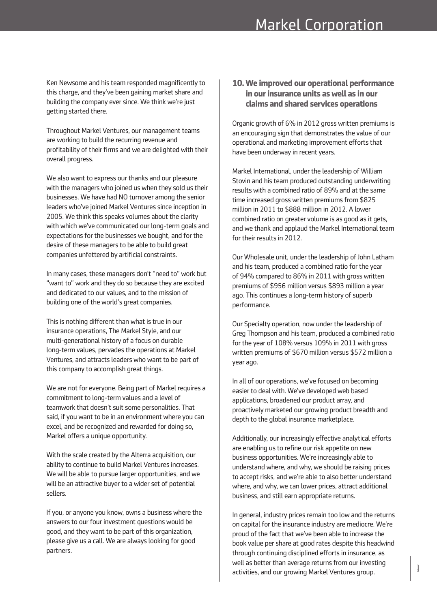Ken Newsome and his team responded magnificently to this charge, and they've been gaining market share and building the company ever since. We think we're just getting started there.

Throughout Markel Ventures, our management teams are working to build the recurring revenue and profitability of their firms and we are delighted with their overall progress.

We also want to express our thanks and our pleasure with the managers who joined us when they sold us their businesses. We have had NO turnover among the senior leaders who've joined Markel Ventures since inception in 2005. We think this speaks volumes about the clarity with which we've communicated our long-term goals and expectations for the businesses we bought, and for the desire of these managers to be able to build great companies unfettered by artificial constraints.

In many cases, these managers don't "need to" work but "want to" work and they do so because they are excited and dedicated to our values, and to the mission of building one of the world's great companies.

This is nothing different than what is true in our insurance operations, The Markel Style, and our multi-generational history of a focus on durable long-term values, pervades the operations at Markel Ventures, and attracts leaders who want to be part of this company to accomplish great things.

We are not for everyone. Being part of Markel requires a commitment to long-term values and a level of teamwork that doesn't suit some personalities. That said, if you want to be in an environment where you can excel, and be recognized and rewarded for doing so, Markel offers a unique opportunity.

With the scale created by the Alterra acquisition, our ability to continue to build Markel Ventures increases. We will be able to pursue larger opportunities, and we will be an attractive buyer to a wider set of potential sellers.

If you, or anyone you know, owns a business where the answers to our four investment questions would be good, and they want to be part of this organization, please give us a call. We are always looking for good partners.

## **10. We improved our operational performance in ourinsurance units as well as in our claims and shared services operations**

Organic growth of 6% in 2012 gross written premiums is an encouraging sign that demonstrates the value of our operational and marketing improvement efforts that have been underway in recent years.

Markel International, under the leadership of William Stovin and his team produced outstanding underwriting results with a combined ratio of 89% and at the same time increased gross written premiums from \$825 million in 2011 to \$888 million in 2012. A lower combined ratio on greater volume is as good as it gets, and we thank and applaud the Markel International team for their results in 2012.

Our Wholesale unit, under the leadership of John Latham and his team, produced a combined ratio for the year of 94% compared to 86% in 2011 with gross written premiums of \$956 million versus \$893 million a year ago. This continues a long-term history of superb performance.

Our Specialty operation, now under the leadership of Greg Thompson and his team, produced a combined ratio for the year of 108% versus 109% in 2011 with gross written premiums of \$670 million versus \$572 million a year ago.

In all of our operations, we've focused on becoming easier to deal with. We've developed web based applications, broadened our product array, and proactively marketed our growing product breadth and depth to the global insurance marketplace.

Additionally, our increasingly effective analytical efforts are enabling us to refine our risk appetite on new business opportunities. We're increasingly able to understand where, and why, we should be raising prices to accept risks, and we're able to also better understand where, and why, we can lower prices, attract additional business, and still earn appropriate returns.

In general, industry prices remain too low and the returns on capital for the insurance industry are mediocre. We're proud of the fact that we've been able to increase the book value per share at good rates despite this headwind through continuing disciplined efforts in insurance, as well as better than average returns from our investing activities, and our growing Markel Ventures group.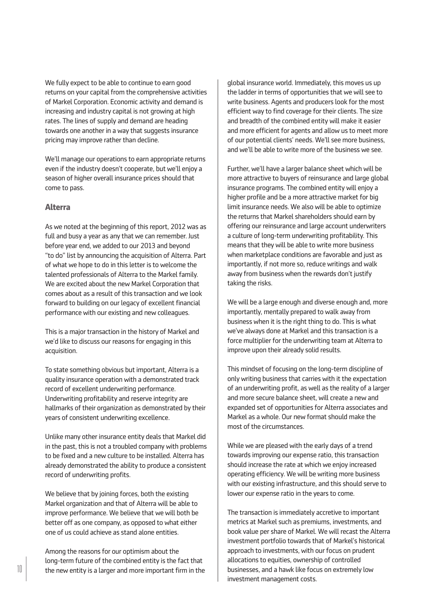We fully expect to be able to continue to earn good returns on your capital from the comprehensive activities of Markel Corporation. Economic activity and demand is increasing and industry capital is not growing at high rates. The lines of supply and demand are heading towards one another in a way that suggests insurance pricing may improve rather than decline.

We'll manage our operations to earn appropriate returns even if the industry doesn't cooperate, but we'll enjoy a season of higher overall insurance prices should that come to pass.

#### **Alterra**

As we noted at the beginning of this report, 2012 was as full and busy a year as any that we can remember. Just before year end, we added to our 2013 and beyond "to do" list by announcing the acquisition of Alterra. Part of what we hope to do in this letter is to welcome the talented professionals of Alterra to the Markel family. We are excited about the new Markel Corporation that comes about as a result of this transaction and we look forward to building on our legacy of excellent financial performance with our existing and new colleagues.

This is a major transaction in the history of Markel and we'd like to discuss our reasons for engaging in this acquisition.

To state something obvious but important, Alterra is a quality insurance operation with a demonstrated track record of excellent underwriting performance. Underwriting profitability and reserve integrity are hallmarks of their organization as demonstrated by their years of consistent underwriting excellence.

Unlike many other insurance entity deals that Markel did in the past, this is not a troubled company with problems to be fixed and a new culture to be installed. Alterra has already demonstrated the ability to produce a consistent record of underwriting profits.

We believe that by joining forces, both the existing Markel organization and that of Alterra will be able to improve performance. We believe that we will both be better off as one company, as opposed to what either one of us could achieve as stand alone entities.

Among the reasons for our optimism about the long-term future of the combined entity is the fact that the new entity is a larger and more important firm in the global insurance world. Immediately, this moves us up the ladder in terms of opportunities that we will see to write business. Agents and producers look for the most efficient way to find coverage for their clients. The size and breadth of the combined entity will make it easier and more efficient for agents and allow us to meet more of our potential clients' needs. We'll see more business, and we'll be able to write more of the business we see.

Further, we'll have a larger balance sheet which will be more attractive to buyers of reinsurance and large global insurance programs. The combined entity will enjoy a higher profile and be a more attractive market for big limit insurance needs. We also will be able to optimize the returns that Markel shareholders should earn by offering our reinsurance and large account underwriters a culture of long-term underwriting profitability. This means that they will be able to write more business when marketplace conditions are favorable and just as importantly, if not more so, reduce writings and walk away from business when the rewards don't justify taking the risks.

We will be a large enough and diverse enough and, more importantly, mentally prepared to walk away from business when it is the right thing to do. This is what we've always done at Markel and this transaction is a force multiplier for the underwriting team at Alterra to improve upon their already solid results.

This mindset of focusing on the long-term discipline of only writing business that carries with it the expectation of an underwriting profit, as well as the reality of a larger and more secure balance sheet, will create a new and expanded set of opportunities for Alterra associates and Markel as a whole. Our new format should make the most of the circumstances.

While we are pleased with the early days of a trend towards improving our expense ratio, this transaction should increase the rate at which we enjoy increased operating efficiency. We will be writing more business with our existing infrastructure, and this should serve to lower our expense ratio in the years to come.

The transaction is immediately accretive to important metrics at Markel such as premiums, investments, and book value per share of Markel. We will recast the Alterra investment portfolio towards that of Markel's historical approach to investments, with our focus on prudent allocations to equities, ownership of controlled businesses, and a hawk like focus on extremely low investment management costs.